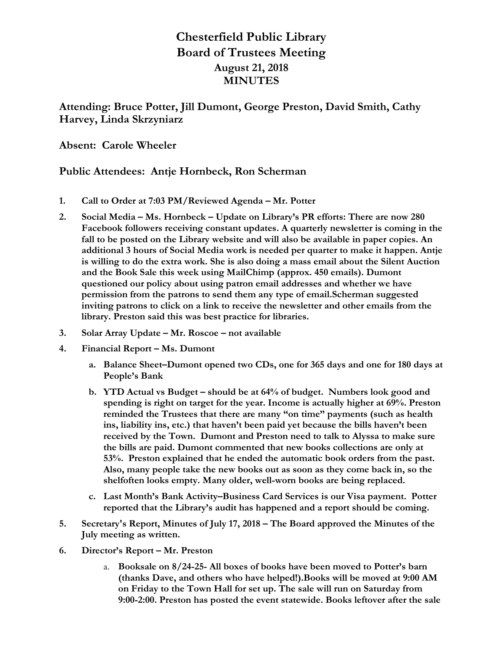## **Chesterfield Public Library Board of Trustees Meeting August 21, 2018 MINUTES**

**Attending: Bruce Potter, Jill Dumont, George Preston, David Smith, Cathy Harvey, Linda Skrzyniarz**

## **Absent: Carole Wheeler**

## **Public Attendees: Antje Hornbeck, Ron Scherman**

- **1. Call to Order at 7:03 PM/Reviewed Agenda – Mr. Potter**
- **2. Social Media – Ms. Hornbeck – Update on Library's PR efforts: There are now 280 Facebook followers receiving constant updates. A quarterly newsletter is coming in the fall to be posted on the Library website and will also be available in paper copies. An additional 3 hours of Social Media work is needed per quarter to make it happen. Antje is willing to do the extra work. She is also doing a mass email about the Silent Auction and the Book Sale this week using MailChimp (approx. 450 emails). Dumont questioned our policy about using patron email addresses and whether we have permission from the patrons to send them any type of email.Scherman suggested inviting patrons to click on a link to receive the newsletter and other emails from the library. Preston said this was best practice for libraries.**
- **3. Solar Array Update – Mr. Roscoe – not available**
- **4. Financial Report – Ms. Dumont**
	- **a. Balance Sheet–Dumont opened two CDs, one for 365 days and one for 180 days at People's Bank**
	- **b. YTD Actual vs Budget – should be at 64% of budget. Numbers look good and spending is right on target for the year. Income is actually higher at 69%. Preston reminded the Trustees that there are many "on time" payments (such as health ins, liability ins, etc.) that haven't been paid yet because the bills haven't been received by the Town. Dumont and Preston need to talk to Alyssa to make sure the bills are paid. Dumont commented that new books collections are only at 53%. Preston explained that he ended the automatic book orders from the past. Also, many people take the new books out as soon as they come back in, so the shelfoften looks empty. Many older, well-worn books are being replaced.**
	- **c. Last Month's Bank Activity–Business Card Services is our Visa payment. Potter reported that the Library's audit has happened and a report should be coming.**
- **5. Secretary's Report, Minutes of July 17, 2018 – The Board approved the Minutes of the July meeting as written.**
- **6. Director's Report – Mr. Preston**
	- a. **Booksale on 8/24-25- All boxes of books have been moved to Potter's barn (thanks Dave, and others who have helped!).Books will be moved at 9:00 AM on Friday to the Town Hall for set up. The sale will run on Saturday from 9:00-2:00. Preston has posted the event statewide. Books leftover after the sale**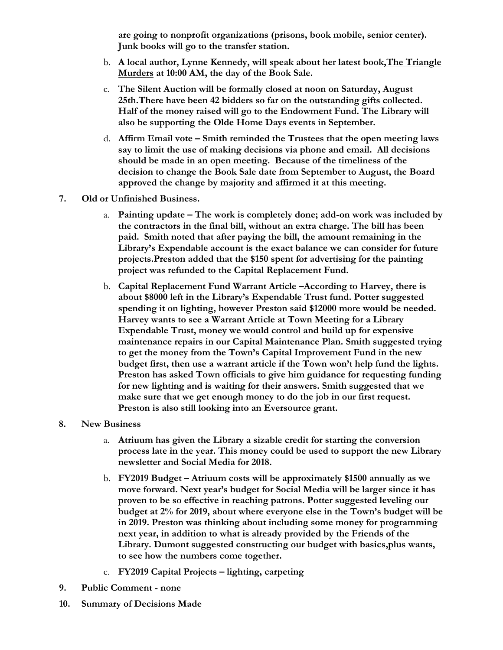**are going to nonprofit organizations (prisons, book mobile, senior center). Junk books will go to the transfer station.**

- b. **A local author, Lynne Kennedy, will speak about her latest book,The Triangle Murders at 10:00 AM, the day of the Book Sale.**
- c. **The Silent Auction will be formally closed at noon on Saturday, August 25th.There have been 42 bidders so far on the outstanding gifts collected. Half of the money raised will go to the Endowment Fund. The Library will also be supporting the Olde Home Days events in September.**
- d. **Affirm Email vote – Smith reminded the Trustees that the open meeting laws say to limit the use of making decisions via phone and email. All decisions should be made in an open meeting. Because of the timeliness of the decision to change the Book Sale date from September to August, the Board approved the change by majority and affirmed it at this meeting.**
- **7. Old or Unfinished Business.**
	- a. **Painting update – The work is completely done; add-on work was included by the contractors in the final bill, without an extra charge. The bill has been paid. Smith noted that after paying the bill, the amount remaining in the Library's Expendable account is the exact balance we can consider for future projects.Preston added that the \$150 spent for advertising for the painting project was refunded to the Capital Replacement Fund.**
	- b. **Capital Replacement Fund Warrant Article –According to Harvey, there is about \$8000 left in the Library's Expendable Trust fund. Potter suggested spending it on lighting, however Preston said \$12000 more would be needed. Harvey wants to see a Warrant Article at Town Meeting for a Library Expendable Trust, money we would control and build up for expensive maintenance repairs in our Capital Maintenance Plan. Smith suggested trying to get the money from the Town's Capital Improvement Fund in the new budget first, then use a warrant article if the Town won't help fund the lights. Preston has asked Town officials to give him guidance for requesting funding for new lighting and is waiting for their answers. Smith suggested that we make sure that we get enough money to do the job in our first request. Preston is also still looking into an Eversource grant.**
- **8. New Business**
	- a. **Atriuum has given the Library a sizable credit for starting the conversion process late in the year. This money could be used to support the new Library newsletter and Social Media for 2018.**
	- b. **FY2019 Budget – Atriuum costs will be approximately \$1500 annually as we move forward. Next year's budget for Social Media will be larger since it has proven to be so effective in reaching patrons. Potter suggested leveling our budget at 2% for 2019, about where everyone else in the Town's budget will be in 2019. Preston was thinking about including some money for programming next year, in addition to what is already provided by the Friends of the Library. Dumont suggested constructing our budget with basics,plus wants, to see how the numbers come together.**
	- c. **FY2019 Capital Projects – lighting, carpeting**
- **9. Public Comment - none**
- **10. Summary of Decisions Made**